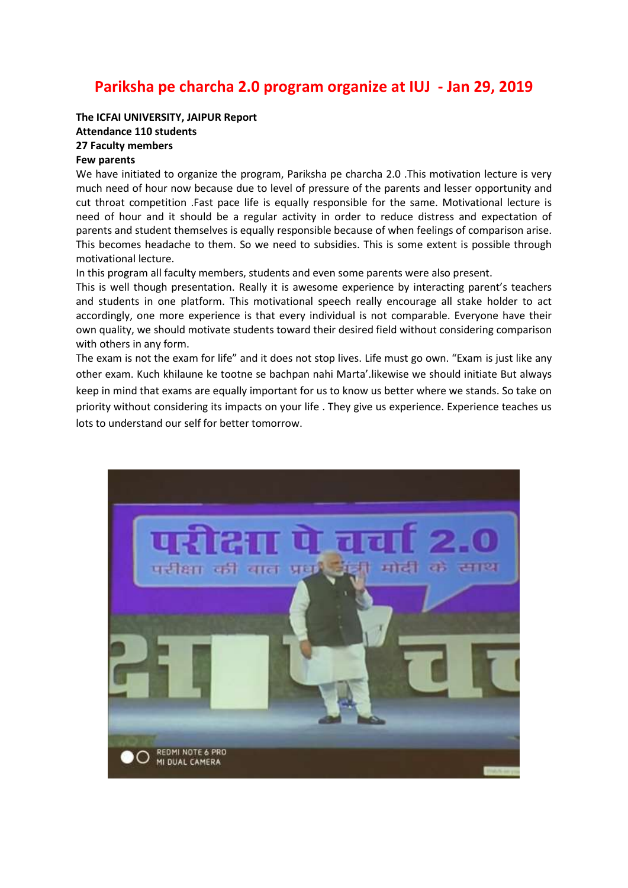## **Pariksha pe charcha 2.0 program organize at IUJ - Jan 29, 2019**

## **The ICFAI UNIVERSITY, JAIPUR Report Attendance 110 students 27 Faculty members Few parents**

## We have initiated to organize the program, Pariksha pe charcha 2.0 .This motivation lecture is very much need of hour now because due to level of pressure of the parents and lesser opportunity and cut throat competition .Fast pace life is equally responsible for the same. Motivational lecture is need of hour and it should be a regular activity in order to reduce distress and expectation of parents and student themselves is equally responsible because of when feelings of comparison arise. This becomes headache to them. So we need to subsidies. This is some extent is possible through motivational lecture.

In this program all faculty members, students and even some parents were also present.

This is well though presentation. Really it is awesome experience by interacting parent's teachers and students in one platform. This motivational speech really encourage all stake holder to act accordingly, one more experience is that every individual is not comparable. Everyone have their own quality, we should motivate students toward their desired field without considering comparison with others in any form.

The exam is not the exam for life" and it does not stop lives. Life must go own. "Exam is just like any other exam. Kuch khilaune ke tootne se bachpan nahi Marta'.likewise we should initiate But always keep in mind that exams are equally important for us to know us better where we stands. So take on priority without considering its impacts on your life . They give us experience. Experience teaches us lots to understand our self for better tomorrow.

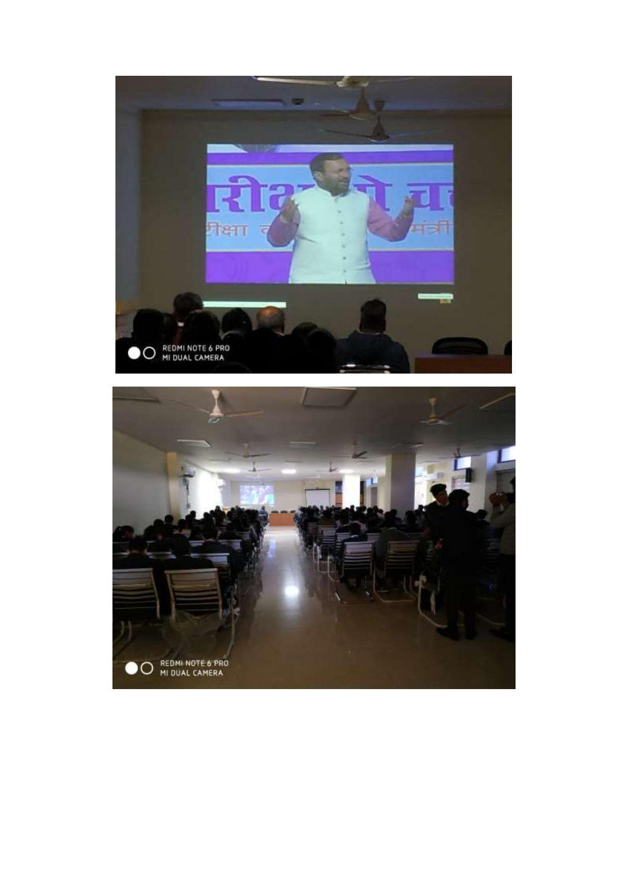

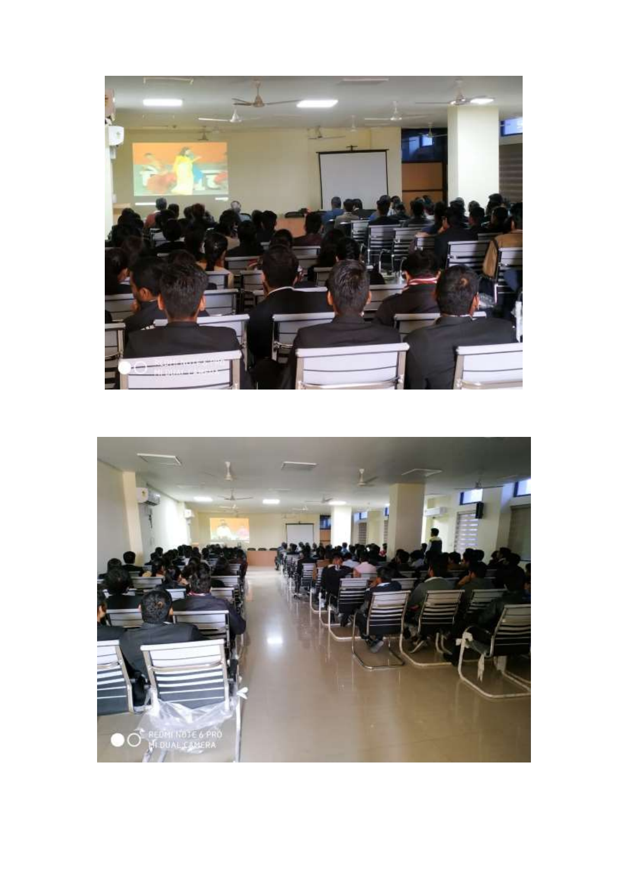